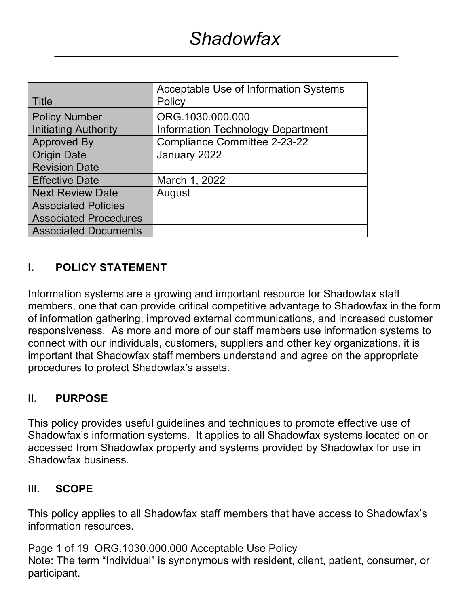|                              | Acceptable Use of Information Systems    |  |
|------------------------------|------------------------------------------|--|
| Title                        | Policy                                   |  |
| <b>Policy Number</b>         | ORG.1030.000.000                         |  |
| <b>Initiating Authority</b>  | <b>Information Technology Department</b> |  |
| <b>Approved By</b>           | <b>Compliance Committee 2-23-22</b>      |  |
| <b>Origin Date</b>           | January 2022                             |  |
| <b>Revision Date</b>         |                                          |  |
| <b>Effective Date</b>        | March 1, 2022                            |  |
| <b>Next Review Date</b>      | August                                   |  |
| <b>Associated Policies</b>   |                                          |  |
| <b>Associated Procedures</b> |                                          |  |
| <b>Associated Documents</b>  |                                          |  |

### **I. POLICY STATEMENT**

Information systems are a growing and important resource for Shadowfax staff members, one that can provide critical competitive advantage to Shadowfax in the form of information gathering, improved external communications, and increased customer responsiveness. As more and more of our staff members use information systems to connect with our individuals, customers, suppliers and other key organizations, it is important that Shadowfax staff members understand and agree on the appropriate procedures to protect Shadowfax's assets.

#### **II. PURPOSE**

This policy provides useful guidelines and techniques to promote effective use of Shadowfax's information systems. It applies to all Shadowfax systems located on or accessed from Shadowfax property and systems provided by Shadowfax for use in Shadowfax business.

#### **III. SCOPE**

This policy applies to all Shadowfax staff members that have access to Shadowfax's information resources.

Page 1 of 19 ORG.1030.000.000 Acceptable Use Policy Note: The term "Individual" is synonymous with resident, client, patient, consumer, or participant.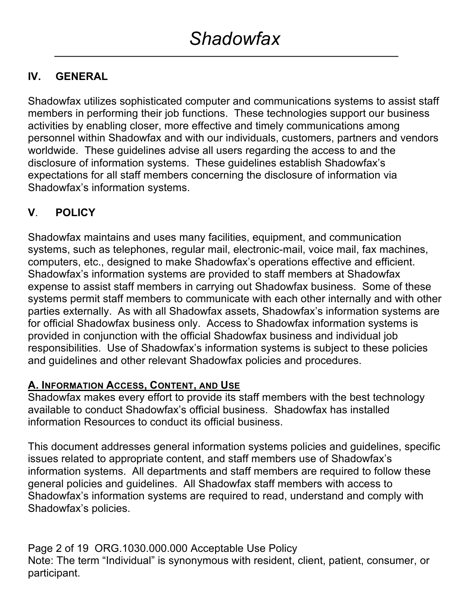## **IV. GENERAL**

Shadowfax utilizes sophisticated computer and communications systems to assist staff members in performing their job functions. These technologies support our business activities by enabling closer, more effective and timely communications among personnel within Shadowfax and with our individuals, customers, partners and vendors worldwide. These guidelines advise all users regarding the access to and the disclosure of information systems. These guidelines establish Shadowfax's expectations for all staff members concerning the disclosure of information via Shadowfax's information systems.

## **V**. **POLICY**

Shadowfax maintains and uses many facilities, equipment, and communication systems, such as telephones, regular mail, electronic-mail, voice mail, fax machines, computers, etc., designed to make Shadowfax's operations effective and efficient. Shadowfax's information systems are provided to staff members at Shadowfax expense to assist staff members in carrying out Shadowfax business. Some of these systems permit staff members to communicate with each other internally and with other parties externally. As with all Shadowfax assets, Shadowfax's information systems are for official Shadowfax business only. Access to Shadowfax information systems is provided in conjunction with the official Shadowfax business and individual job responsibilities. Use of Shadowfax's information systems is subject to these policies and guidelines and other relevant Shadowfax policies and procedures.

## **A. INFORMATION ACCESS, CONTENT, AND USE**

Shadowfax makes every effort to provide its staff members with the best technology available to conduct Shadowfax's official business. Shadowfax has installed information Resources to conduct its official business.

This document addresses general information systems policies and guidelines, specific issues related to appropriate content, and staff members use of Shadowfax's information systems. All departments and staff members are required to follow these general policies and guidelines. All Shadowfax staff members with access to Shadowfax's information systems are required to read, understand and comply with Shadowfax's policies.

Page 2 of 19 ORG.1030.000.000 Acceptable Use Policy Note: The term "Individual" is synonymous with resident, client, patient, consumer, or participant.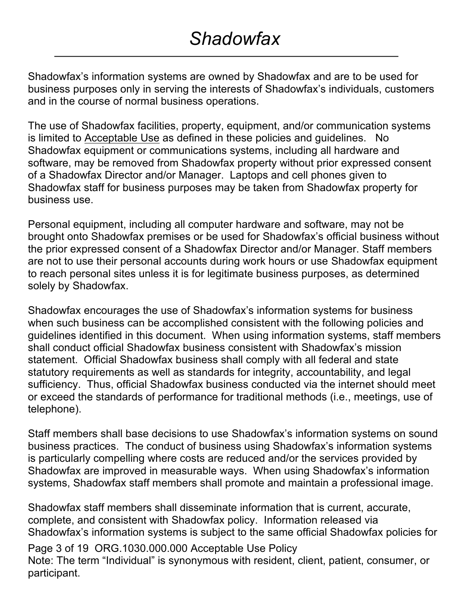Shadowfax's information systems are owned by Shadowfax and are to be used for business purposes only in serving the interests of Shadowfax's individuals, customers and in the course of normal business operations.

The use of Shadowfax facilities, property, equipment, and/or communication systems is limited to Acceptable Use as defined in these policies and guidelines. No Shadowfax equipment or communications systems, including all hardware and software, may be removed from Shadowfax property without prior expressed consent of a Shadowfax Director and/or Manager. Laptops and cell phones given to Shadowfax staff for business purposes may be taken from Shadowfax property for business use.

Personal equipment, including all computer hardware and software, may not be brought onto Shadowfax premises or be used for Shadowfax's official business without the prior expressed consent of a Shadowfax Director and/or Manager. Staff members are not to use their personal accounts during work hours or use Shadowfax equipment to reach personal sites unless it is for legitimate business purposes, as determined solely by Shadowfax.

Shadowfax encourages the use of Shadowfax's information systems for business when such business can be accomplished consistent with the following policies and guidelines identified in this document. When using information systems, staff members shall conduct official Shadowfax business consistent with Shadowfax's mission statement. Official Shadowfax business shall comply with all federal and state statutory requirements as well as standards for integrity, accountability, and legal sufficiency. Thus, official Shadowfax business conducted via the internet should meet or exceed the standards of performance for traditional methods (i.e., meetings, use of telephone).

Staff members shall base decisions to use Shadowfax's information systems on sound business practices. The conduct of business using Shadowfax's information systems is particularly compelling where costs are reduced and/or the services provided by Shadowfax are improved in measurable ways. When using Shadowfax's information systems, Shadowfax staff members shall promote and maintain a professional image.

Shadowfax staff members shall disseminate information that is current, accurate, complete, and consistent with Shadowfax policy. Information released via Shadowfax's information systems is subject to the same official Shadowfax policies for

Page 3 of 19 ORG.1030.000.000 Acceptable Use Policy Note: The term "Individual" is synonymous with resident, client, patient, consumer, or participant.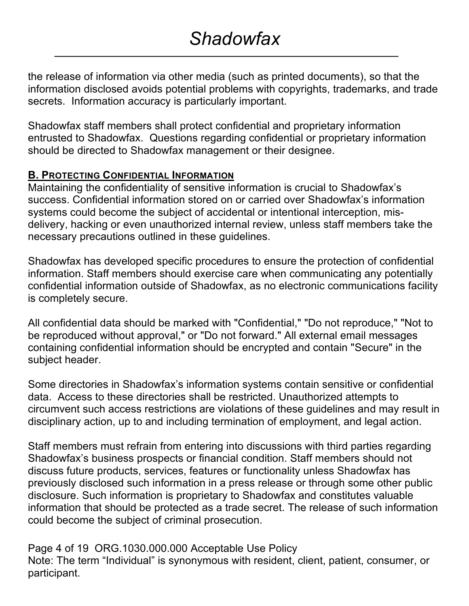the release of information via other media (such as printed documents), so that the information disclosed avoids potential problems with copyrights, trademarks, and trade secrets. Information accuracy is particularly important.

Shadowfax staff members shall protect confidential and proprietary information entrusted to Shadowfax. Questions regarding confidential or proprietary information should be directed to Shadowfax management or their designee.

#### **B. PROTECTING CONFIDENTIAL INFORMATION**

Maintaining the confidentiality of sensitive information is crucial to Shadowfax's success. Confidential information stored on or carried over Shadowfax's information systems could become the subject of accidental or intentional interception, misdelivery, hacking or even unauthorized internal review, unless staff members take the necessary precautions outlined in these guidelines.

Shadowfax has developed specific procedures to ensure the protection of confidential information. Staff members should exercise care when communicating any potentially confidential information outside of Shadowfax, as no electronic communications facility is completely secure.

All confidential data should be marked with "Confidential," "Do not reproduce," "Not to be reproduced without approval," or "Do not forward." All external email messages containing confidential information should be encrypted and contain "Secure" in the subject header.

Some directories in Shadowfax's information systems contain sensitive or confidential data. Access to these directories shall be restricted. Unauthorized attempts to circumvent such access restrictions are violations of these guidelines and may result in disciplinary action, up to and including termination of employment, and legal action.

Staff members must refrain from entering into discussions with third parties regarding Shadowfax's business prospects or financial condition. Staff members should not discuss future products, services, features or functionality unless Shadowfax has previously disclosed such information in a press release or through some other public disclosure. Such information is proprietary to Shadowfax and constitutes valuable information that should be protected as a trade secret. The release of such information could become the subject of criminal prosecution.

Page 4 of 19 ORG.1030.000.000 Acceptable Use Policy Note: The term "Individual" is synonymous with resident, client, patient, consumer, or participant.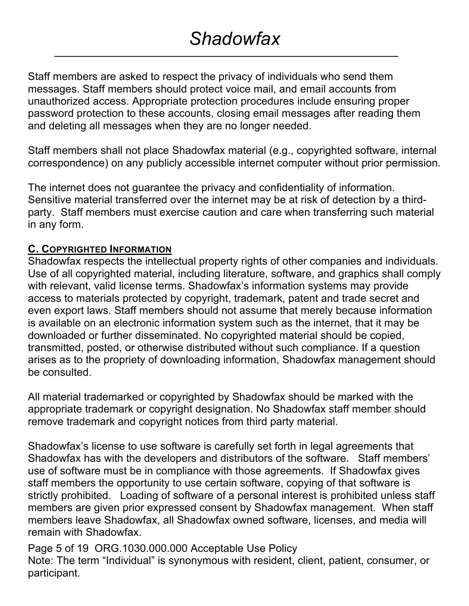Staff members are asked to respect the privacy of individuals who send them messages. Staff members should protect voice mail, and email accounts from unauthorized access. Appropriate protection procedures include ensuring proper password protection to these accounts, closing email messages after reading them and deleting all messages when they are no longer needed.

Staff members shall not place Shadowfax material (e.g., copyrighted software, internal correspondence) on any publicly accessible internet computer without prior permission.

The internet does not guarantee the privacy and confidentiality of information. Sensitive material transferred over the internet may be at risk of detection by a thirdparty. Staff members must exercise caution and care when transferring such material in any form.

#### **C. COPYRIGHTED INFORMATION**

Shadowfax respects the intellectual property rights of other companies and individuals. Use of all copyrighted material, including literature, software, and graphics shall comply with relevant, valid license terms. Shadowfax's information systems may provide access to materials protected by copyright, trademark, patent and trade secret and even export laws. Staff members should not assume that merely because information is available on an electronic information system such as the internet, that it may be downloaded or further disseminated. No copyrighted material should be copied, transmitted, posted, or otherwise distributed without such compliance. If a question arises as to the propriety of downloading information, Shadowfax management should be consulted.

All material trademarked or copyrighted by Shadowfax should be marked with the appropriate trademark or copyright designation. No Shadowfax staff member should remove trademark and copyright notices from third party material.

Shadowfax's license to use software is carefully set forth in legal agreements that Shadowfax has with the developers and distributors of the software. Staff members' use of software must be in compliance with those agreements. If Shadowfax gives staff members the opportunity to use certain software, copying of that software is strictly prohibited. Loading of software of a personal interest is prohibited unless staff members are given prior expressed consent by Shadowfax management. When staff members leave Shadowfax, all Shadowfax owned software, licenses, and media will remain with Shadowfax.

Page 5 of 19 ORG.1030.000.000 Acceptable Use Policy Note: The term "Individual" is synonymous with resident, client, patient, consumer, or participant.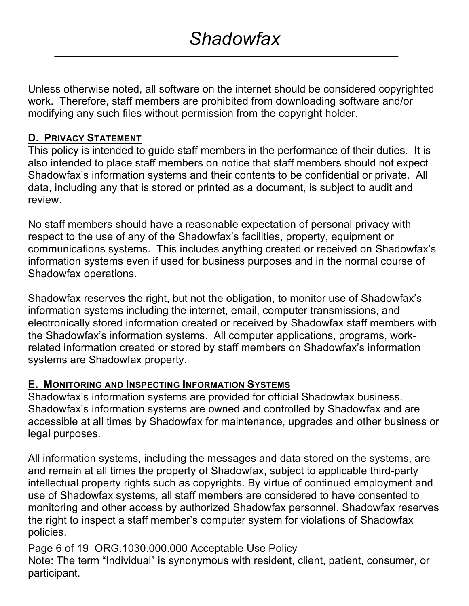Unless otherwise noted, all software on the internet should be considered copyrighted work. Therefore, staff members are prohibited from downloading software and/or modifying any such files without permission from the copyright holder.

#### **D. PRIVACY STATEMENT**

This policy is intended to guide staff members in the performance of their duties. It is also intended to place staff members on notice that staff members should not expect Shadowfax's information systems and their contents to be confidential or private. All data, including any that is stored or printed as a document, is subject to audit and review.

No staff members should have a reasonable expectation of personal privacy with respect to the use of any of the Shadowfax's facilities, property, equipment or communications systems. This includes anything created or received on Shadowfax's information systems even if used for business purposes and in the normal course of Shadowfax operations.

Shadowfax reserves the right, but not the obligation, to monitor use of Shadowfax's information systems including the internet, email, computer transmissions, and electronically stored information created or received by Shadowfax staff members with the Shadowfax's information systems. All computer applications, programs, workrelated information created or stored by staff members on Shadowfax's information systems are Shadowfax property.

#### **E. MONITORING AND INSPECTING INFORMATION SYSTEMS**

Shadowfax's information systems are provided for official Shadowfax business. Shadowfax's information systems are owned and controlled by Shadowfax and are accessible at all times by Shadowfax for maintenance, upgrades and other business or legal purposes.

All information systems, including the messages and data stored on the systems, are and remain at all times the property of Shadowfax, subject to applicable third-party intellectual property rights such as copyrights. By virtue of continued employment and use of Shadowfax systems, all staff members are considered to have consented to monitoring and other access by authorized Shadowfax personnel. Shadowfax reserves the right to inspect a staff member's computer system for violations of Shadowfax policies.

Page 6 of 19 ORG.1030.000.000 Acceptable Use Policy Note: The term "Individual" is synonymous with resident, client, patient, consumer, or participant.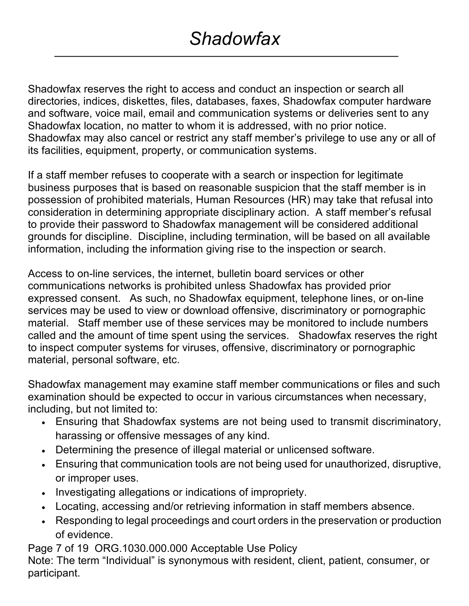Shadowfax reserves the right to access and conduct an inspection or search all directories, indices, diskettes, files, databases, faxes, Shadowfax computer hardware and software, voice mail, email and communication systems or deliveries sent to any Shadowfax location, no matter to whom it is addressed, with no prior notice. Shadowfax may also cancel or restrict any staff member's privilege to use any or all of its facilities, equipment, property, or communication systems.

If a staff member refuses to cooperate with a search or inspection for legitimate business purposes that is based on reasonable suspicion that the staff member is in possession of prohibited materials, Human Resources (HR) may take that refusal into consideration in determining appropriate disciplinary action. A staff member's refusal to provide their password to Shadowfax management will be considered additional grounds for discipline. Discipline, including termination, will be based on all available information, including the information giving rise to the inspection or search.

Access to on-line services, the internet, bulletin board services or other communications networks is prohibited unless Shadowfax has provided prior expressed consent. As such, no Shadowfax equipment, telephone lines, or on-line services may be used to view or download offensive, discriminatory or pornographic material. Staff member use of these services may be monitored to include numbers called and the amount of time spent using the services. Shadowfax reserves the right to inspect computer systems for viruses, offensive, discriminatory or pornographic material, personal software, etc.

Shadowfax management may examine staff member communications or files and such examination should be expected to occur in various circumstances when necessary, including, but not limited to:

- Ensuring that Shadowfax systems are not being used to transmit discriminatory, harassing or offensive messages of any kind.
- Determining the presence of illegal material or unlicensed software.
- Ensuring that communication tools are not being used for unauthorized, disruptive, or improper uses.
- Investigating allegations or indications of impropriety.
- Locating, accessing and/or retrieving information in staff members absence.
- Responding to legal proceedings and court orders in the preservation or production of evidence.

Page 7 of 19 ORG.1030.000.000 Acceptable Use Policy

Note: The term "Individual" is synonymous with resident, client, patient, consumer, or participant.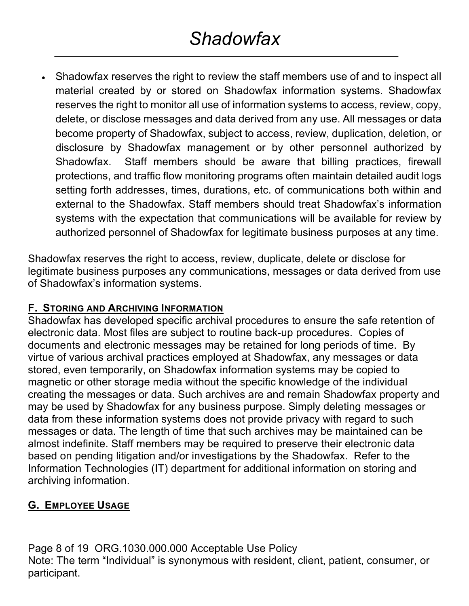• Shadowfax reserves the right to review the staff members use of and to inspect all material created by or stored on Shadowfax information systems. Shadowfax reserves the right to monitor all use of information systems to access, review, copy, delete, or disclose messages and data derived from any use. All messages or data become property of Shadowfax, subject to access, review, duplication, deletion, or disclosure by Shadowfax management or by other personnel authorized by Shadowfax. Staff members should be aware that billing practices, firewall protections, and traffic flow monitoring programs often maintain detailed audit logs setting forth addresses, times, durations, etc. of communications both within and external to the Shadowfax. Staff members should treat Shadowfax's information systems with the expectation that communications will be available for review by authorized personnel of Shadowfax for legitimate business purposes at any time.

Shadowfax reserves the right to access, review, duplicate, delete or disclose for legitimate business purposes any communications, messages or data derived from use of Shadowfax's information systems.

#### **F. STORING AND ARCHIVING INFORMATION**

Shadowfax has developed specific archival procedures to ensure the safe retention of electronic data. Most files are subject to routine back-up procedures. Copies of documents and electronic messages may be retained for long periods of time. By virtue of various archival practices employed at Shadowfax, any messages or data stored, even temporarily, on Shadowfax information systems may be copied to magnetic or other storage media without the specific knowledge of the individual creating the messages or data. Such archives are and remain Shadowfax property and may be used by Shadowfax for any business purpose. Simply deleting messages or data from these information systems does not provide privacy with regard to such messages or data. The length of time that such archives may be maintained can be almost indefinite. Staff members may be required to preserve their electronic data based on pending litigation and/or investigations by the Shadowfax. Refer to the Information Technologies (IT) department for additional information on storing and archiving information.

#### **G. EMPLOYEE USAGE**

Page 8 of 19 ORG.1030.000.000 Acceptable Use Policy Note: The term "Individual" is synonymous with resident, client, patient, consumer, or participant.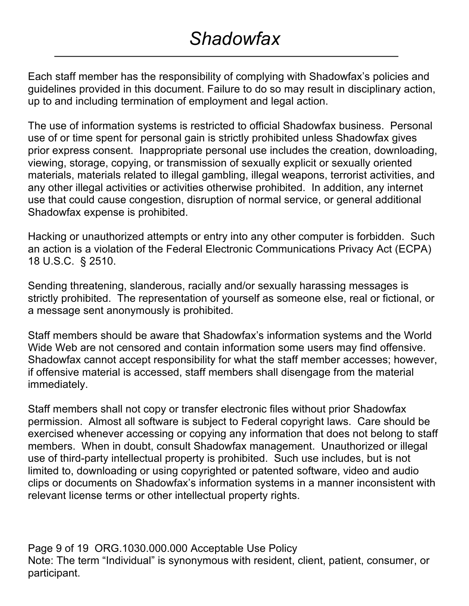Each staff member has the responsibility of complying with Shadowfax's policies and guidelines provided in this document. Failure to do so may result in disciplinary action, up to and including termination of employment and legal action.

The use of information systems is restricted to official Shadowfax business. Personal use of or time spent for personal gain is strictly prohibited unless Shadowfax gives prior express consent. Inappropriate personal use includes the creation, downloading, viewing, storage, copying, or transmission of sexually explicit or sexually oriented materials, materials related to illegal gambling, illegal weapons, terrorist activities, and any other illegal activities or activities otherwise prohibited. In addition, any internet use that could cause congestion, disruption of normal service, or general additional Shadowfax expense is prohibited.

Hacking or unauthorized attempts or entry into any other computer is forbidden. Such an action is a violation of the Federal Electronic Communications Privacy Act (ECPA) 18 U.S.C. § 2510.

Sending threatening, slanderous, racially and/or sexually harassing messages is strictly prohibited. The representation of yourself as someone else, real or fictional, or a message sent anonymously is prohibited.

Staff members should be aware that Shadowfax's information systems and the World Wide Web are not censored and contain information some users may find offensive. Shadowfax cannot accept responsibility for what the staff member accesses; however, if offensive material is accessed, staff members shall disengage from the material immediately.

Staff members shall not copy or transfer electronic files without prior Shadowfax permission. Almost all software is subject to Federal copyright laws. Care should be exercised whenever accessing or copying any information that does not belong to staff members. When in doubt, consult Shadowfax management. Unauthorized or illegal use of third-party intellectual property is prohibited. Such use includes, but is not limited to, downloading or using copyrighted or patented software, video and audio clips or documents on Shadowfax's information systems in a manner inconsistent with relevant license terms or other intellectual property rights.

Page 9 of 19 ORG.1030.000.000 Acceptable Use Policy Note: The term "Individual" is synonymous with resident, client, patient, consumer, or participant.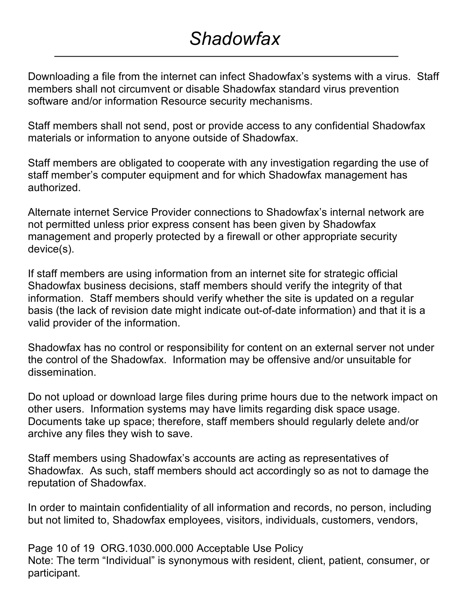Downloading a file from the internet can infect Shadowfax's systems with a virus. Staff members shall not circumvent or disable Shadowfax standard virus prevention software and/or information Resource security mechanisms.

Staff members shall not send, post or provide access to any confidential Shadowfax materials or information to anyone outside of Shadowfax.

Staff members are obligated to cooperate with any investigation regarding the use of staff member's computer equipment and for which Shadowfax management has authorized.

Alternate internet Service Provider connections to Shadowfax's internal network are not permitted unless prior express consent has been given by Shadowfax management and properly protected by a firewall or other appropriate security device(s).

If staff members are using information from an internet site for strategic official Shadowfax business decisions, staff members should verify the integrity of that information. Staff members should verify whether the site is updated on a regular basis (the lack of revision date might indicate out-of-date information) and that it is a valid provider of the information.

Shadowfax has no control or responsibility for content on an external server not under the control of the Shadowfax. Information may be offensive and/or unsuitable for dissemination.

Do not upload or download large files during prime hours due to the network impact on other users. Information systems may have limits regarding disk space usage. Documents take up space; therefore, staff members should regularly delete and/or archive any files they wish to save.

Staff members using Shadowfax's accounts are acting as representatives of Shadowfax. As such, staff members should act accordingly so as not to damage the reputation of Shadowfax.

In order to maintain confidentiality of all information and records, no person, including but not limited to, Shadowfax employees, visitors, individuals, customers, vendors,

Page 10 of 19 ORG.1030.000.000 Acceptable Use Policy Note: The term "Individual" is synonymous with resident, client, patient, consumer, or participant.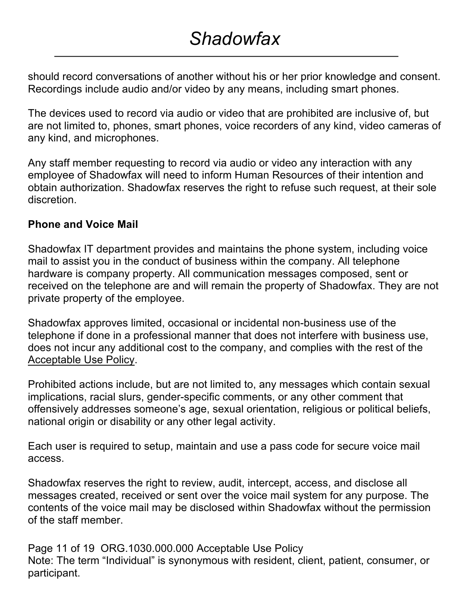should record conversations of another without his or her prior knowledge and consent. Recordings include audio and/or video by any means, including smart phones.

The devices used to record via audio or video that are prohibited are inclusive of, but are not limited to, phones, smart phones, voice recorders of any kind, video cameras of any kind, and microphones.

Any staff member requesting to record via audio or video any interaction with any employee of Shadowfax will need to inform Human Resources of their intention and obtain authorization. Shadowfax reserves the right to refuse such request, at their sole discretion.

### **Phone and Voice Mail**

Shadowfax IT department provides and maintains the phone system, including voice mail to assist you in the conduct of business within the company. All telephone hardware is company property. All communication messages composed, sent or received on the telephone are and will remain the property of Shadowfax. They are not private property of the employee.

Shadowfax approves limited, occasional or incidental non-business use of the telephone if done in a professional manner that does not interfere with business use, does not incur any additional cost to the company, and complies with the rest of the Acceptable Use Policy.

Prohibited actions include, but are not limited to, any messages which contain sexual implications, racial slurs, gender-specific comments, or any other comment that offensively addresses someone's age, sexual orientation, religious or political beliefs, national origin or disability or any other legal activity.

Each user is required to setup, maintain and use a pass code for secure voice mail access.

Shadowfax reserves the right to review, audit, intercept, access, and disclose all messages created, received or sent over the voice mail system for any purpose. The contents of the voice mail may be disclosed within Shadowfax without the permission of the staff member.

Page 11 of 19 ORG.1030.000.000 Acceptable Use Policy Note: The term "Individual" is synonymous with resident, client, patient, consumer, or participant.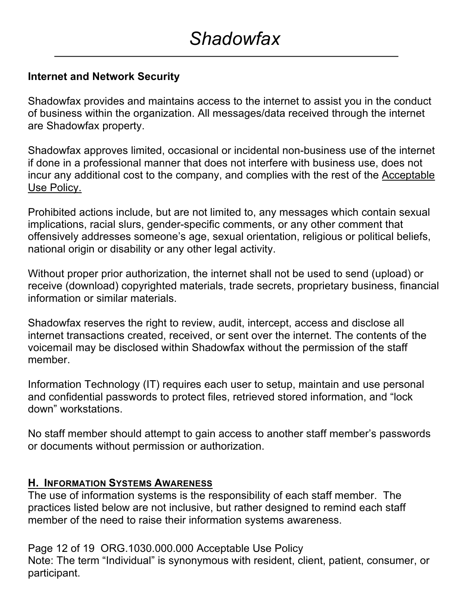### **Internet and Network Security**

Shadowfax provides and maintains access to the internet to assist you in the conduct of business within the organization. All messages/data received through the internet are Shadowfax property.

Shadowfax approves limited, occasional or incidental non-business use of the internet if done in a professional manner that does not interfere with business use, does not incur any additional cost to the company, and complies with the rest of the Acceptable Use Policy.

Prohibited actions include, but are not limited to, any messages which contain sexual implications, racial slurs, gender-specific comments, or any other comment that offensively addresses someone's age, sexual orientation, religious or political beliefs, national origin or disability or any other legal activity.

Without proper prior authorization, the internet shall not be used to send (upload) or receive (download) copyrighted materials, trade secrets, proprietary business, financial information or similar materials.

Shadowfax reserves the right to review, audit, intercept, access and disclose all internet transactions created, received, or sent over the internet. The contents of the voicemail may be disclosed within Shadowfax without the permission of the staff member.

Information Technology (IT) requires each user to setup, maintain and use personal and confidential passwords to protect files, retrieved stored information, and "lock down" workstations.

No staff member should attempt to gain access to another staff member's passwords or documents without permission or authorization.

#### **H. INFORMATION SYSTEMS AWARENESS**

The use of information systems is the responsibility of each staff member. The practices listed below are not inclusive, but rather designed to remind each staff member of the need to raise their information systems awareness.

Page 12 of 19 ORG.1030.000.000 Acceptable Use Policy Note: The term "Individual" is synonymous with resident, client, patient, consumer, or participant.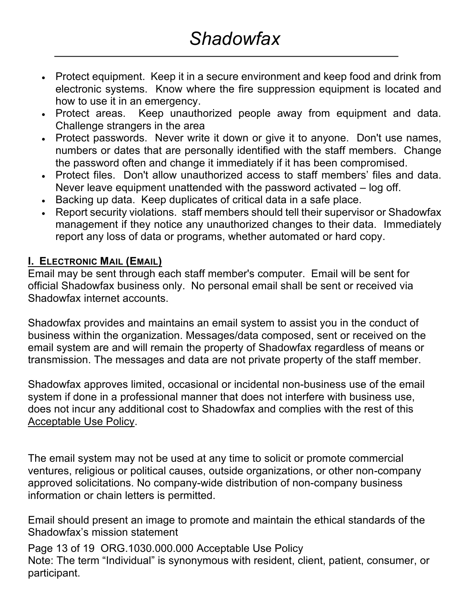- Protect equipment. Keep it in a secure environment and keep food and drink from electronic systems. Know where the fire suppression equipment is located and how to use it in an emergency.
- Protect areas. Keep unauthorized people away from equipment and data. Challenge strangers in the area
- Protect passwords. Never write it down or give it to anyone. Don't use names, numbers or dates that are personally identified with the staff members. Change the password often and change it immediately if it has been compromised.
- Protect files. Don't allow unauthorized access to staff members' files and data. Never leave equipment unattended with the password activated – log off.
- Backing up data. Keep duplicates of critical data in a safe place.
- Report security violations. staff members should tell their supervisor or Shadowfax management if they notice any unauthorized changes to their data. Immediately report any loss of data or programs, whether automated or hard copy.

#### **I. ELECTRONIC MAIL (EMAIL)**

Email may be sent through each staff member's computer. Email will be sent for official Shadowfax business only. No personal email shall be sent or received via Shadowfax internet accounts.

Shadowfax provides and maintains an email system to assist you in the conduct of business within the organization. Messages/data composed, sent or received on the email system are and will remain the property of Shadowfax regardless of means or transmission. The messages and data are not private property of the staff member.

Shadowfax approves limited, occasional or incidental non-business use of the email system if done in a professional manner that does not interfere with business use, does not incur any additional cost to Shadowfax and complies with the rest of this Acceptable Use Policy.

The email system may not be used at any time to solicit or promote commercial ventures, religious or political causes, outside organizations, or other non-company approved solicitations. No company-wide distribution of non-company business information or chain letters is permitted.

Email should present an image to promote and maintain the ethical standards of the Shadowfax's mission statement

Page 13 of 19 ORG.1030.000.000 Acceptable Use Policy Note: The term "Individual" is synonymous with resident, client, patient, consumer, or participant.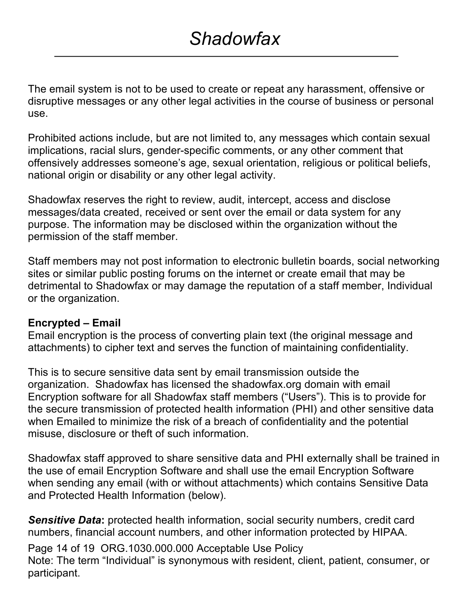The email system is not to be used to create or repeat any harassment, offensive or disruptive messages or any other legal activities in the course of business or personal use.

Prohibited actions include, but are not limited to, any messages which contain sexual implications, racial slurs, gender-specific comments, or any other comment that offensively addresses someone's age, sexual orientation, religious or political beliefs, national origin or disability or any other legal activity.

Shadowfax reserves the right to review, audit, intercept, access and disclose messages/data created, received or sent over the email or data system for any purpose. The information may be disclosed within the organization without the permission of the staff member.

Staff members may not post information to electronic bulletin boards, social networking sites or similar public posting forums on the internet or create email that may be detrimental to Shadowfax or may damage the reputation of a staff member, Individual or the organization.

#### **Encrypted – Email**

Email encryption is the process of converting plain text (the original message and attachments) to cipher text and serves the function of maintaining confidentiality.

This is to secure sensitive data sent by email transmission outside the organization. Shadowfax has licensed the shadowfax.org domain with email Encryption software for all Shadowfax staff members ("Users"). This is to provide for the secure transmission of protected health information (PHI) and other sensitive data when Emailed to minimize the risk of a breach of confidentiality and the potential misuse, disclosure or theft of such information.

Shadowfax staff approved to share sensitive data and PHI externally shall be trained in the use of email Encryption Software and shall use the email Encryption Software when sending any email (with or without attachments) which contains Sensitive Data and Protected Health Information (below).

**Sensitive Data:** protected health information, social security numbers, credit card numbers, financial account numbers, and other information protected by HIPAA.

Page 14 of 19 ORG.1030.000.000 Acceptable Use Policy Note: The term "Individual" is synonymous with resident, client, patient, consumer, or participant.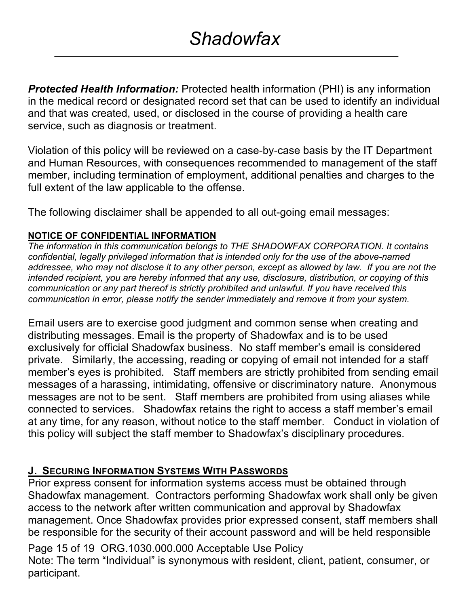*Protected Health Information:* Protected health information (PHI) is any information in the medical record or designated record set that can be used to identify an individual and that was created, used, or disclosed in the course of providing a health care service, such as diagnosis or treatment.

Violation of this policy will be reviewed on a case-by-case basis by the IT Department and Human Resources, with consequences recommended to management of the staff member, including termination of employment, additional penalties and charges to the full extent of the law applicable to the offense.

The following disclaimer shall be appended to all out-going email messages:

#### **NOTICE OF CONFIDENTIAL INFORMATION**

*The information in this communication belongs to THE SHADOWFAX CORPORATION. It contains confidential, legally privileged information that is intended only for the use of the above-named addressee, who may not disclose it to any other person, except as allowed by law. If you are not the intended recipient, you are hereby informed that any use, disclosure, distribution, or copying of this communication or any part thereof is strictly prohibited and unlawful. If you have received this communication in error, please notify the sender immediately and remove it from your system.*

Email users are to exercise good judgment and common sense when creating and distributing messages. Email is the property of Shadowfax and is to be used exclusively for official Shadowfax business. No staff member's email is considered private. Similarly, the accessing, reading or copying of email not intended for a staff member's eyes is prohibited. Staff members are strictly prohibited from sending email messages of a harassing, intimidating, offensive or discriminatory nature. Anonymous messages are not to be sent. Staff members are prohibited from using aliases while connected to services. Shadowfax retains the right to access a staff member's email at any time, for any reason, without notice to the staff member. Conduct in violation of this policy will subject the staff member to Shadowfax's disciplinary procedures.

#### **J. SECURING INFORMATION SYSTEMS WITH PASSWORDS**

Prior express consent for information systems access must be obtained through Shadowfax management. Contractors performing Shadowfax work shall only be given access to the network after written communication and approval by Shadowfax management. Once Shadowfax provides prior expressed consent, staff members shall be responsible for the security of their account password and will be held responsible

Page 15 of 19 ORG.1030.000.000 Acceptable Use Policy Note: The term "Individual" is synonymous with resident, client, patient, consumer, or participant.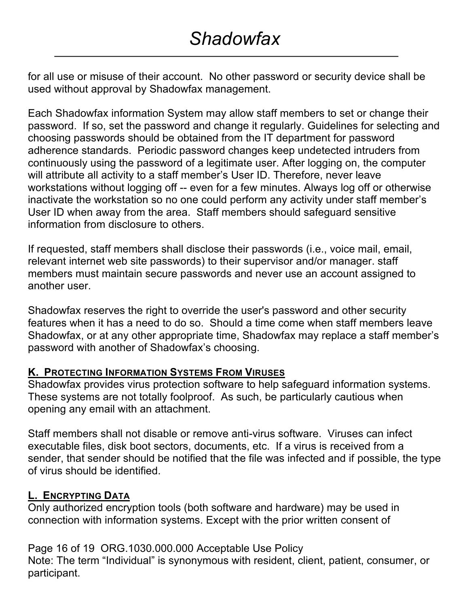for all use or misuse of their account. No other password or security device shall be used without approval by Shadowfax management.

Each Shadowfax information System may allow staff members to set or change their password. If so, set the password and change it regularly. Guidelines for selecting and choosing passwords should be obtained from the IT department for password adherence standards. Periodic password changes keep undetected intruders from continuously using the password of a legitimate user. After logging on, the computer will attribute all activity to a staff member's User ID. Therefore, never leave workstations without logging off -- even for a few minutes. Always log off or otherwise inactivate the workstation so no one could perform any activity under staff member's User ID when away from the area. Staff members should safeguard sensitive information from disclosure to others.

If requested, staff members shall disclose their passwords (i.e., voice mail, email, relevant internet web site passwords) to their supervisor and/or manager. staff members must maintain secure passwords and never use an account assigned to another user.

Shadowfax reserves the right to override the user's password and other security features when it has a need to do so. Should a time come when staff members leave Shadowfax, or at any other appropriate time, Shadowfax may replace a staff member's password with another of Shadowfax's choosing.

#### **K. PROTECTING INFORMATION SYSTEMS FROM VIRUSES**

Shadowfax provides virus protection software to help safeguard information systems. These systems are not totally foolproof. As such, be particularly cautious when opening any email with an attachment.

Staff members shall not disable or remove anti-virus software. Viruses can infect executable files, disk boot sectors, documents, etc. If a virus is received from a sender, that sender should be notified that the file was infected and if possible, the type of virus should be identified.

#### **L. ENCRYPTING DATA**

Only authorized encryption tools (both software and hardware) may be used in connection with information systems. Except with the prior written consent of

Page 16 of 19 ORG.1030.000.000 Acceptable Use Policy Note: The term "Individual" is synonymous with resident, client, patient, consumer, or participant.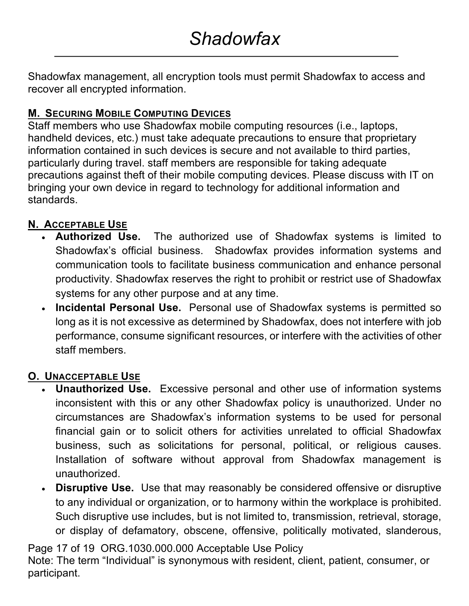Shadowfax management, all encryption tools must permit Shadowfax to access and recover all encrypted information.

### **M. SECURING MOBILE COMPUTING DEVICES**

Staff members who use Shadowfax mobile computing resources (i.e., laptops, handheld devices, etc.) must take adequate precautions to ensure that proprietary information contained in such devices is secure and not available to third parties, particularly during travel. staff members are responsible for taking adequate precautions against theft of their mobile computing devices. Please discuss with IT on bringing your own device in regard to technology for additional information and standards.

### **N. ACCEPTABLE USE**

- **Authorized Use.** The authorized use of Shadowfax systems is limited to Shadowfax's official business. Shadowfax provides information systems and communication tools to facilitate business communication and enhance personal productivity. Shadowfax reserves the right to prohibit or restrict use of Shadowfax systems for any other purpose and at any time.
- **Incidental Personal Use.** Personal use of Shadowfax systems is permitted so long as it is not excessive as determined by Shadowfax, does not interfere with job performance, consume significant resources, or interfere with the activities of other staff members.

### **O. UNACCEPTABLE USE**

- **Unauthorized Use.** Excessive personal and other use of information systems inconsistent with this or any other Shadowfax policy is unauthorized. Under no circumstances are Shadowfax's information systems to be used for personal financial gain or to solicit others for activities unrelated to official Shadowfax business, such as solicitations for personal, political, or religious causes. Installation of software without approval from Shadowfax management is unauthorized.
- **Disruptive Use.** Use that may reasonably be considered offensive or disruptive to any individual or organization, or to harmony within the workplace is prohibited. Such disruptive use includes, but is not limited to, transmission, retrieval, storage, or display of defamatory, obscene, offensive, politically motivated, slanderous,

Page 17 of 19 ORG.1030.000.000 Acceptable Use Policy

Note: The term "Individual" is synonymous with resident, client, patient, consumer, or participant.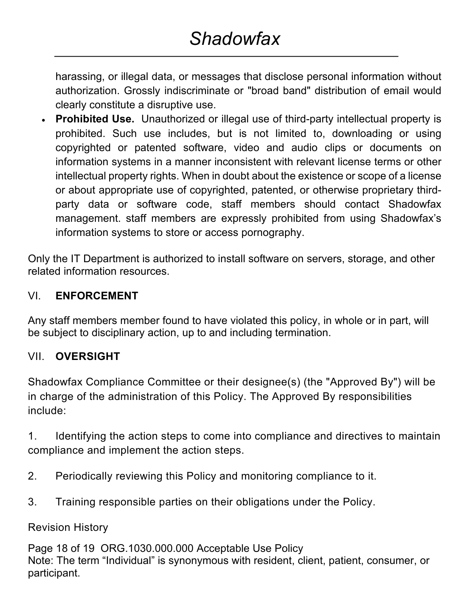harassing, or illegal data, or messages that disclose personal information without authorization. Grossly indiscriminate or "broad band" distribution of email would clearly constitute a disruptive use.

• **Prohibited Use.** Unauthorized or illegal use of third-party intellectual property is prohibited. Such use includes, but is not limited to, downloading or using copyrighted or patented software, video and audio clips or documents on information systems in a manner inconsistent with relevant license terms or other intellectual property rights. When in doubt about the existence or scope of a license or about appropriate use of copyrighted, patented, or otherwise proprietary thirdparty data or software code, staff members should contact Shadowfax management. staff members are expressly prohibited from using Shadowfax's information systems to store or access pornography.

Only the IT Department is authorized to install software on servers, storage, and other related information resources.

### VI. **ENFORCEMENT**

Any staff members member found to have violated this policy, in whole or in part, will be subject to disciplinary action, up to and including termination.

#### VII. **OVERSIGHT**

Shadowfax Compliance Committee or their designee(s) (the "Approved By") will be in charge of the administration of this Policy. The Approved By responsibilities include:

1. Identifying the action steps to come into compliance and directives to maintain compliance and implement the action steps.

- 2. Periodically reviewing this Policy and monitoring compliance to it.
- 3. Training responsible parties on their obligations under the Policy.

Revision History

Page 18 of 19 ORG.1030.000.000 Acceptable Use Policy Note: The term "Individual" is synonymous with resident, client, patient, consumer, or participant.